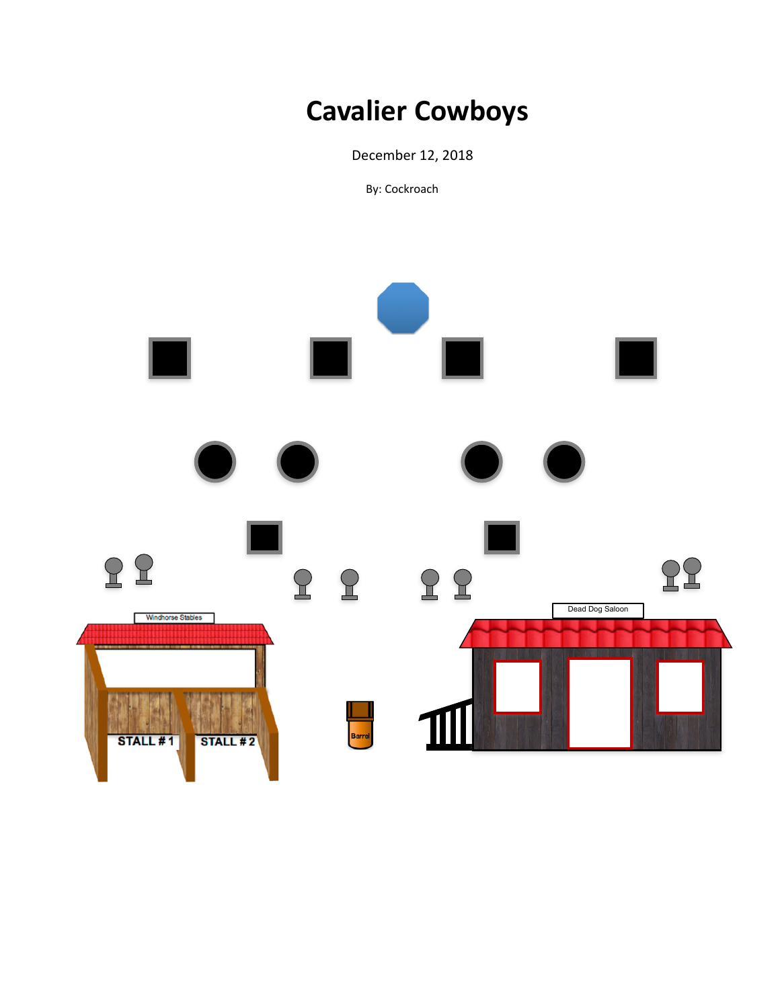# **Cavalier Cowboys**

 December 12, 2018

By: Cockroach

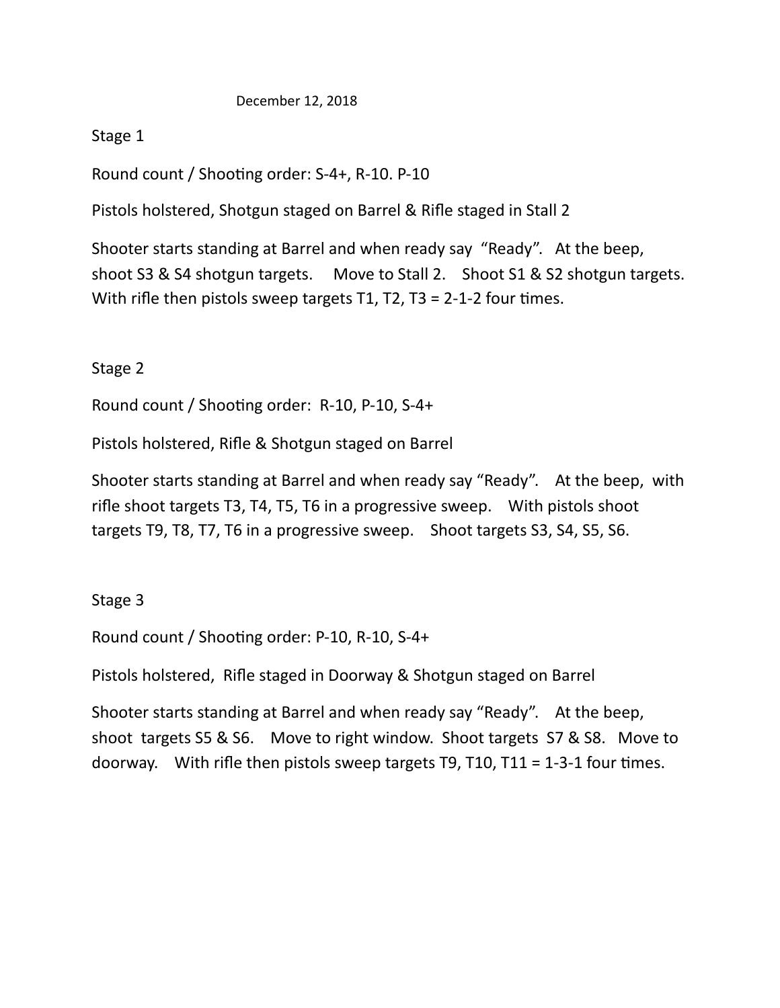#### December 12, 2018

## Stage 1

Round count / Shooting order: S-4+, R-10. P-10

Pistols holstered, Shotgun staged on Barrel & Rifle staged in Stall 2

Shooter starts standing at Barrel and when ready say "Ready". At the beep, shoot S3 & S4 shotgun targets. Move to Stall 2. Shoot S1 & S2 shotgun targets. With rifle then pistols sweep targets  $T1$ ,  $T2$ ,  $T3 = 2-1-2$  four times.

## Stage 2

Round count / Shooting order:  $R-10$ ,  $P-10$ ,  $S-4+$ 

Pistols holstered, Rifle & Shotgun staged on Barrel

Shooter starts standing at Barrel and when ready say "Ready". At the beep, with rifle shoot targets  $T3$ ,  $T4$ ,  $T5$ ,  $T6$  in a progressive sweep. With pistols shoot targets T9, T8, T7, T6 in a progressive sweep. Shoot targets S3, S4, S5, S6.

### Stage 3

Round count / Shooting order:  $P-10$ ,  $R-10$ ,  $S-4+$ 

Pistols holstered, Rifle staged in Doorway & Shotgun staged on Barrel

Shooter starts standing at Barrel and when ready say "Ready". At the beep, shoot targets S5 & S6. Move to right window. Shoot targets S7 & S8. Move to doorway. With rifle then pistols sweep targets  $T9$ ,  $T10$ ,  $T11 = 1-3-1$  four times.